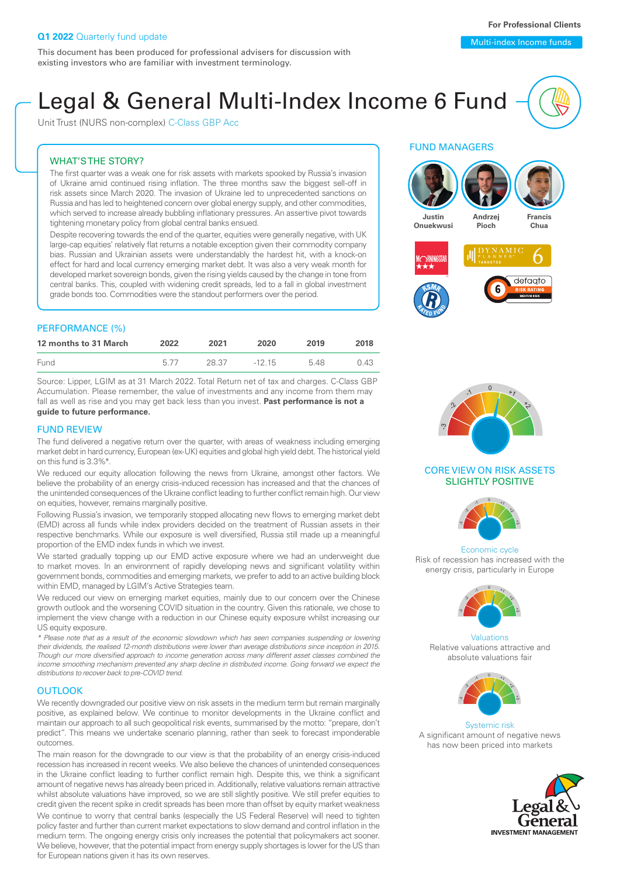Unit Trust (NURS non-complex) C-Class GBP Acc

### WHAT'S THE STORY?

The first quarter was a weak one for risk assets with markets spooked by Russia's invasion of Ukraine amid continued rising inflation. The three months saw the biggest sell-off in risk assets since March 2020. The invasion of Ukraine led to unprecedented sanctions on Russia and has led to heightened concern over global energy supply, and other commodities, which served to increase already bubbling inflationary pressures. An assertive pivot towards tightening monetary policy from global central banks ensued.

Despite recovering towards the end of the quarter, equities were generally negative, with UK large-cap equities' relatively flat returns a notable exception given their commodity company bias. Russian and Ukrainian assets were understandably the hardest hit, with a knock-on effect for hard and local currency emerging market debt. It was also a very weak month for developed market sovereign bonds, given the rising yields caused by the change in tone from central banks. This, coupled with widening credit spreads, led to a fall in global investment grade bonds too. Commodities were the standout performers over the period.

### PERFORMANCE (%)

| 12 months to 31 March | 2022 | 2021  | 2020     | 2019 | 2018 |
|-----------------------|------|-------|----------|------|------|
| Fund                  | 577  | 28.37 | $-12,15$ | 548  | 0.43 |

Source: Lipper, LGIM as at 31 March 2022. Total Return net of tax and charges. C-Class GBP Accumulation. Please remember, the value of investments and any income from them may fall as well as rise and you may get back less than you invest. **Past performance is not a guide to future performance.**

### FUND REVIEW

The fund delivered a negative return over the quarter, with areas of weakness including emerging market debt in hard currency, European (ex-UK) equities and global high yield debt. The historical yield on this fund is 3.3%\*.

We reduced our equity allocation following the news from Ukraine, amongst other factors. We believe the probability of an energy crisis-induced recession has increased and that the chances of the unintended consequences of the Ukraine conflict leading to further conflict remain high. Our view on equities, however, remains marginally positive.

Following Russia's invasion, we temporarily stopped allocating new flows to emerging market debt (EMD) across all funds while index providers decided on the treatment of Russian assets in their respective benchmarks. While our exposure is well diversified, Russia still made up a meaningful proportion of the EMD index funds in which we invest.

We started gradually topping up our EMD active exposure where we had an underweight due to market moves. In an environment of rapidly developing news and significant volatility within government bonds, commodities and emerging markets, we prefer to add to an active building block within EMD, managed by LGIM's Active Strategies team.

We reduced our view on emerging market equities, mainly due to our concern over the Chinese growth outlook and the worsening COVID situation in the country. Given this rationale, we chose to implement the view change with a reduction in our Chinese equity exposure whilst increasing our US equity exposure.

*\* Please note that as a result of the economic slowdown which has seen companies suspending or lowering their dividends, the realised 12-month distributions were lower than average distributions since inception in 2015. Though our more diversified approach to income generation across many different asset classes combined the income smoothing mechanism prevented any sharp decline in distributed income. Going forward we expect the distributions to recover back to pre-COVID trend.*

#### **OUTLOOK**

We recently downgraded our positive view on risk assets in the medium term but remain marginally positive, as explained below. We continue to monitor developments in the Ukraine conflict and maintain our approach to all such geopolitical risk events, summarised by the motto: "prepare, don't predict". This means we undertake scenario planning, rather than seek to forecast imponderable outcomes.

The main reason for the downgrade to our view is that the probability of an energy crisis-induced recession has increased in recent weeks. We also believe the chances of unintended consequences in the Ukraine conflict leading to further conflict remain high. Despite this, we think a significant amount of negative news has already been priced in. Additionally, relative valuations remain attractive whilst absolute valuations have improved, so we are still slightly positive. We still prefer equities to credit given the recent spike in credit spreads has been more than offset by equity market weakness

We continue to worry that central banks (especially the US Federal Reserve) will need to tighten policy faster and further than current market expectations to slow demand and control inflation in the medium term. The ongoing energy crisis only increases the potential that policymakers act sooner. We believe, however, that the potential impact from energy supply shortages is lower for the US than for European nations given it has its own reserves.

### FUND MANAGERS





### CORE VIEW ON RISK ASSETS SLIGHTLY POSITIVE



Economic cycle Risk of recession has increased with the energy crisis, particularly in Europe



Valuations Relative valuations attractive and absolute valuations fair



Systemic risk A significant amount of negative news has now been priced into markets